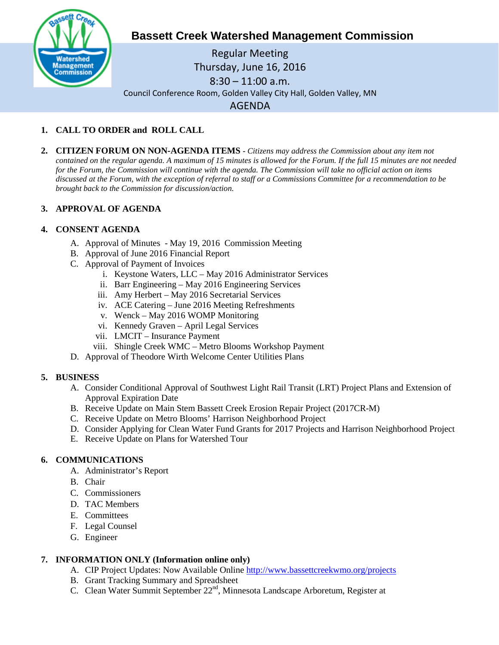

# **Bassett Creek Watershed Management Commission**

Regular Meeting Thursday, June 16, 2016 8:30 – 11:00 a.m. Council Conference Room, Golden Valley City Hall, Golden Valley, MN AGENDA

## **1. CALL TO ORDER and ROLL CALL**

**2. CITIZEN FORUM ON NON-AGENDA ITEMS -** *Citizens may address the Commission about any item not contained on the regular agenda. A maximum of 15 minutes is allowed for the Forum. If the full 15 minutes are not needed for the Forum, the Commission will continue with the agenda. The Commission will take no official action on items discussed at the Forum, with the exception of referral to staff or a Commissions Committee for a recommendation to be brought back to the Commission for discussion/action.*

## **3. APPROVAL OF AGENDA**

### **4. CONSENT AGENDA**

- A. Approval of Minutes May 19, 2016 Commission Meeting
- B. Approval of June 2016 Financial Report
- C. Approval of Payment of Invoices
	- i. Keystone Waters, LLC May 2016 Administrator Services
	- ii. Barr Engineering May 2016 Engineering Services
	- iii. Amy Herbert May 2016 Secretarial Services
	- iv. ACE Catering June 2016 Meeting Refreshments
	- v. Wenck May 2016 WOMP Monitoring
	- vi. Kennedy Graven April Legal Services
	- vii. LMCIT Insurance Payment
	- viii. Shingle Creek WMC Metro Blooms Workshop Payment
- D. Approval of Theodore Wirth Welcome Center Utilities Plans

### **5. BUSINESS**

- A. Consider Conditional Approval of Southwest Light Rail Transit (LRT) Project Plans and Extension of Approval Expiration Date
- B. Receive Update on Main Stem Bassett Creek Erosion Repair Project (2017CR-M)
- C. Receive Update on Metro Blooms' Harrison Neighborhood Project
- D. Consider Applying for Clean Water Fund Grants for 2017 Projects and Harrison Neighborhood Project
- E. Receive Update on Plans for Watershed Tour

### **6. COMMUNICATIONS**

- A. Administrator's Report
- B. Chair
- C. Commissioners
- D. TAC Members
- E. Committees
- F. Legal Counsel
- G. Engineer

### **7. INFORMATION ONLY (Information online only)**

- A. CIP Project Updates: Now Available Online<http://www.bassettcreekwmo.org/projects>
- B. Grant Tracking Summary and Spreadsheet
- C. Clean Water Summit September 22<sup>nd</sup>, Minnesota Landscape Arboretum, Register at